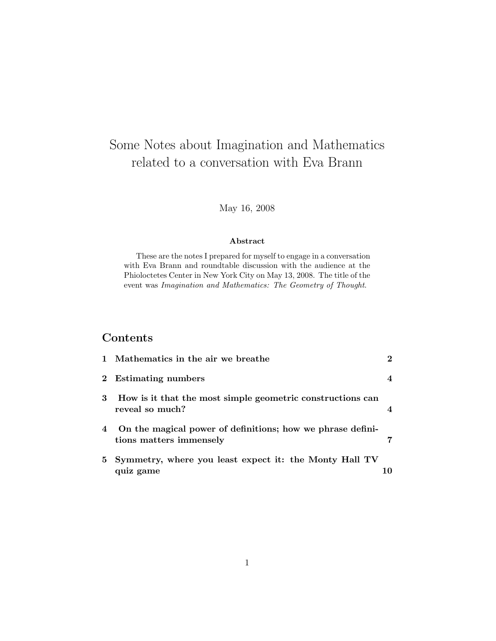# Some Notes about Imagination and Mathematics related to a conversation with Eva Brann

#### May 16, 2008

#### Abstract

These are the notes I prepared for myself to engage in a conversation with Eva Brann and roundtable discussion with the audience at the Phioloctetes Center in New York City on May 13, 2008. The title of the event was Imagination and Mathematics: The Geometry of Thought.

### Contents

|    | 1 Mathematics in the air we breathe                                                   | 2                        |
|----|---------------------------------------------------------------------------------------|--------------------------|
|    | 2 Estimating numbers                                                                  | $\boldsymbol{\varDelta}$ |
| 3  | How is it that the most simple geometric constructions can<br>reveal so much?         | 4                        |
|    | On the magical power of definitions; how we phrase defini-<br>tions matters immensely |                          |
| 5. | Symmetry, where you least expect it: the Monty Hall TV<br>quiz game                   | 10                       |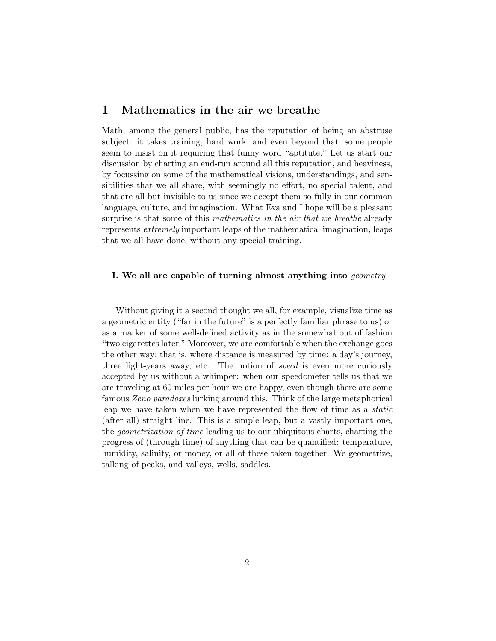### 1 Mathematics in the air we breathe

Math, among the general public, has the reputation of being an abstruse subject: it takes training, hard work, and even beyond that, some people seem to insist on it requiring that funny word "aptitute." Let us start our discussion by charting an end-run around all this reputation, and heaviness, by focussing on some of the mathematical visions, understandings, and sensibilities that we all share, with seemingly no effort, no special talent, and that are all but invisible to us since we accept them so fully in our common language, culture, and imagination. What Eva and I hope will be a pleasant surprise is that some of this mathematics in the air that we breathe already represents extremely important leaps of the mathematical imagination, leaps that we all have done, without any special training.

#### I. We all are capable of turning almost anything into geometry

Without giving it a second thought we all, for example, visualize time as a geometric entity ("far in the future" is a perfectly familiar phrase to us) or as a marker of some well-defined activity as in the somewhat out of fashion "two cigarettes later." Moreover, we are comfortable when the exchange goes the other way; that is, where distance is measured by time: a day's journey, three light-years away, etc. The notion of speed is even more curiously accepted by us without a whimper: when our speedometer tells us that we are traveling at 60 miles per hour we are happy, even though there are some famous Zeno paradoxes lurking around this. Think of the large metaphorical leap we have taken when we have represented the flow of time as a static (after all) straight line. This is a simple leap, but a vastly important one, the *geometrization of time* leading us to our ubiquitous charts, charting the progress of (through time) of anything that can be quantified: temperature, humidity, salinity, or money, or all of these taken together. We geometrize, talking of peaks, and valleys, wells, saddles.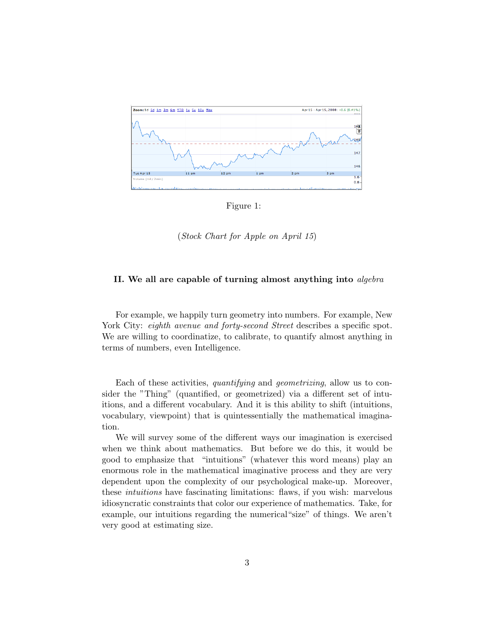

Figure 1:

(Stock Chart for Apple on April 15)

#### II. We all are capable of turning almost anything into algebra

For example, we happily turn geometry into numbers. For example, New York City: *eighth avenue and forty-second Street* describes a specific spot. We are willing to coordinatize, to calibrate, to quantify almost anything in terms of numbers, even Intelligence.

Each of these activities, quantifying and geometrizing, allow us to consider the "Thing" (quantified, or geometrized) via a different set of intuitions, and a different vocabulary. And it is this ability to shift (intuitions, vocabulary, viewpoint) that is quintessentially the mathematical imagination.

We will survey some of the different ways our imagination is exercised when we think about mathematics. But before we do this, it would be good to emphasize that "intuitions" (whatever this word means) play an enormous role in the mathematical imaginative process and they are very dependent upon the complexity of our psychological make-up. Moreover, these intuitions have fascinating limitations: flaws, if you wish: marvelous idiosyncratic constraints that color our experience of mathematics. Take, for example, our intuitions regarding the numerical"size" of things. We aren't very good at estimating size.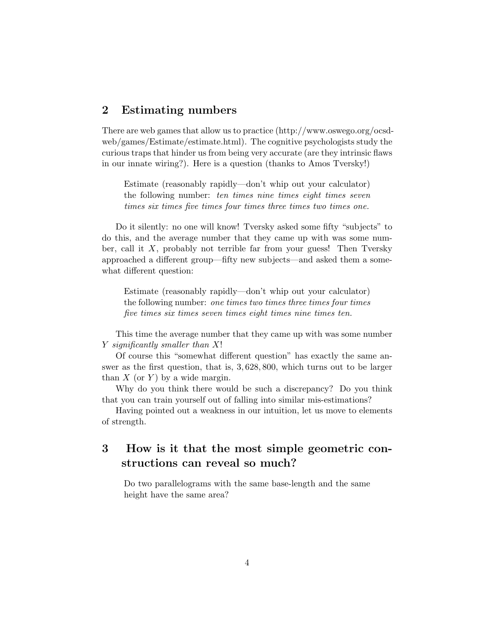### 2 Estimating numbers

There are web games that allow us to practice (http://www.oswego.org/ocsdweb/games/Estimate/estimate.html). The cognitive psychologists study the curious traps that hinder us from being very accurate (are they intrinsic flaws in our innate wiring?). Here is a question (thanks to Amos Tversky!)

Estimate (reasonably rapidly—don't whip out your calculator) the following number: ten times nine times eight times seven times six times five times four times three times two times one.

Do it silently: no one will know! Tversky asked some fifty "subjects" to do this, and the average number that they came up with was some number, call it  $X$ , probably not terrible far from your guess! Then Tversky approached a different group—fifty new subjects—and asked them a somewhat different question:

Estimate (reasonably rapidly—don't whip out your calculator) the following number: one times two times three times four times five times six times seven times eight times nine times ten.

This time the average number that they came up with was some number Y significantly smaller than X!

Of course this "somewhat different question" has exactly the same answer as the first question, that is, 3, 628, 800, which turns out to be larger than  $X$  (or Y) by a wide margin.

Why do you think there would be such a discrepancy? Do you think that you can train yourself out of falling into similar mis-estimations?

Having pointed out a weakness in our intuition, let us move to elements of strength.

### 3 How is it that the most simple geometric constructions can reveal so much?

Do two parallelograms with the same base-length and the same height have the same area?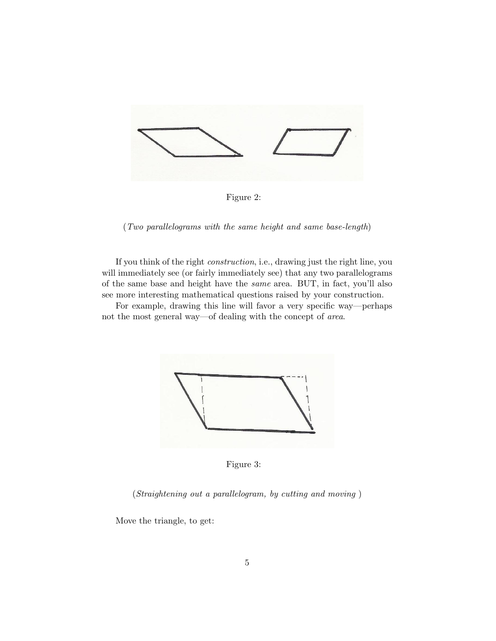

Figure 2:

(Two parallelograms with the same height and same base-length)

If you think of the right construction, i.e., drawing just the right line, you will immediately see (or fairly immediately see) that any two parallelograms of the same base and height have the same area. BUT, in fact, you'll also see more interesting mathematical questions raised by your construction.

For example, drawing this line will favor a very specific way—perhaps not the most general way—of dealing with the concept of area.



Figure 3:

(Straightening out a parallelogram, by cutting and moving )

Move the triangle, to get: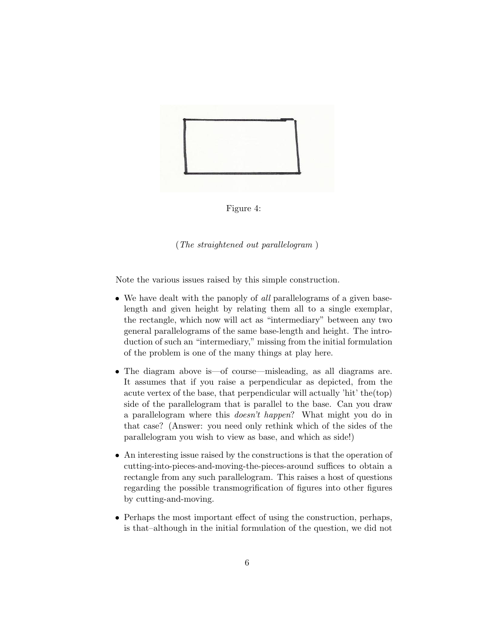

Figure 4:

(The straightened out parallelogram )

Note the various issues raised by this simple construction.

- We have dealt with the panoply of all parallelograms of a given baselength and given height by relating them all to a single exemplar, the rectangle, which now will act as "intermediary" between any two general parallelograms of the same base-length and height. The introduction of such an "intermediary," missing from the initial formulation of the problem is one of the many things at play here.
- The diagram above is—of course—misleading, as all diagrams are. It assumes that if you raise a perpendicular as depicted, from the acute vertex of the base, that perpendicular will actually 'hit' the(top) side of the parallelogram that is parallel to the base. Can you draw a parallelogram where this doesn't happen? What might you do in that case? (Answer: you need only rethink which of the sides of the parallelogram you wish to view as base, and which as side!)
- An interesting issue raised by the constructions is that the operation of cutting-into-pieces-and-moving-the-pieces-around suffices to obtain a rectangle from any such parallelogram. This raises a host of questions regarding the possible transmogrification of figures into other figures by cutting-and-moving.
- Perhaps the most important effect of using the construction, perhaps, is that–although in the initial formulation of the question, we did not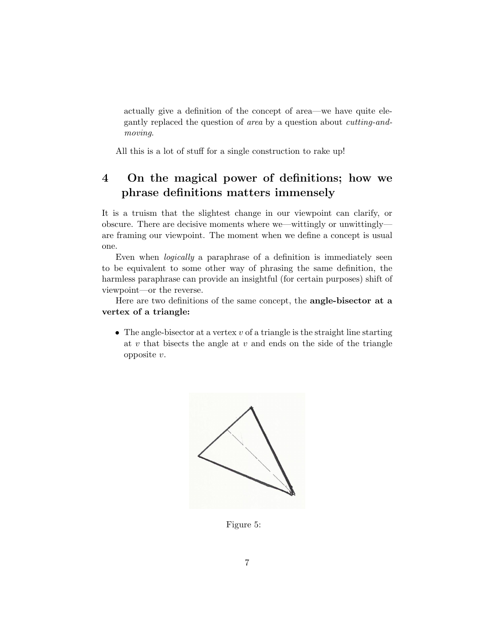actually give a definition of the concept of area—we have quite elegantly replaced the question of area by a question about cutting-andmoving.

All this is a lot of stuff for a single construction to rake up!

# 4 On the magical power of definitions; how we phrase definitions matters immensely

It is a truism that the slightest change in our viewpoint can clarify, or obscure. There are decisive moments where we—wittingly or unwittingly are framing our viewpoint. The moment when we define a concept is usual one.

Even when logically a paraphrase of a definition is immediately seen to be equivalent to some other way of phrasing the same definition, the harmless paraphrase can provide an insightful (for certain purposes) shift of viewpoint—or the reverse.

Here are two definitions of the same concept, the **angle-bisector at a** vertex of a triangle:

• The angle-bisector at a vertex  $v$  of a triangle is the straight line starting at  $v$  that bisects the angle at  $v$  and ends on the side of the triangle opposite v.



Figure 5: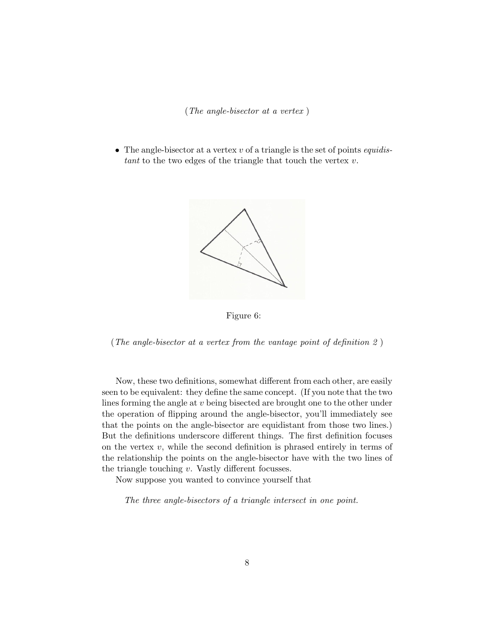(The angle-bisector at a vertex )

• The angle-bisector at a vertex  $v$  of a triangle is the set of points *equidis*tant to the two edges of the triangle that touch the vertex  $v$ .





(The angle-bisector at a vertex from the vantage point of definition  $2$ )

Now, these two definitions, somewhat different from each other, are easily seen to be equivalent: they define the same concept. (If you note that the two lines forming the angle at v being bisected are brought one to the other under the operation of flipping around the angle-bisector, you'll immediately see that the points on the angle-bisector are equidistant from those two lines.) But the definitions underscore different things. The first definition focuses on the vertex  $v$ , while the second definition is phrased entirely in terms of the relationship the points on the angle-bisector have with the two lines of the triangle touching  $v$ . Vastly different focusses.

Now suppose you wanted to convince yourself that

The three angle-bisectors of a triangle intersect in one point.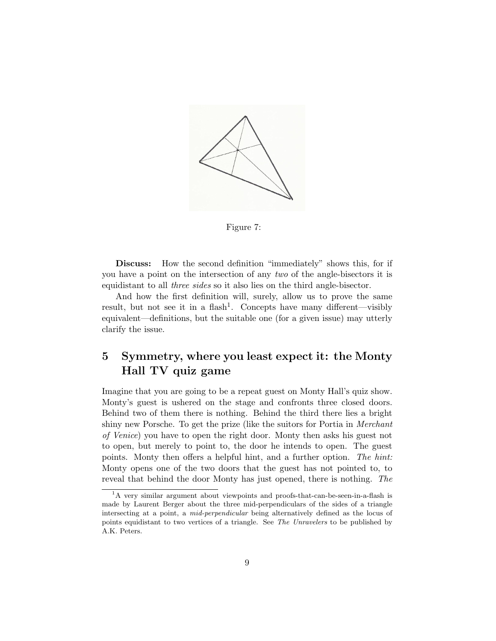

Figure 7:

Discuss: How the second definition "immediately" shows this, for if you have a point on the intersection of any two of the angle-bisectors it is equidistant to all three sides so it also lies on the third angle-bisector.

And how the first definition will, surely, allow us to prove the same result, but not see it in a flash<sup>1</sup>. Concepts have many different—visibly equivalent—definitions, but the suitable one (for a given issue) may utterly clarify the issue.

## 5 Symmetry, where you least expect it: the Monty Hall TV quiz game

Imagine that you are going to be a repeat guest on Monty Hall's quiz show. Monty's guest is ushered on the stage and confronts three closed doors. Behind two of them there is nothing. Behind the third there lies a bright shiny new Porsche. To get the prize (like the suitors for Portia in *Merchant* of Venice) you have to open the right door. Monty then asks his guest not to open, but merely to point to, the door he intends to open. The guest points. Monty then offers a helpful hint, and a further option. The hint: Monty opens one of the two doors that the guest has not pointed to, to reveal that behind the door Monty has just opened, there is nothing. The

 ${}^{1}$ A very similar argument about viewpoints and proofs-that-can-be-seen-in-a-flash is made by Laurent Berger about the three mid-perpendiculars of the sides of a triangle intersecting at a point, a mid-perpendicular being alternatively defined as the locus of points equidistant to two vertices of a triangle. See The Unravelers to be published by A.K. Peters.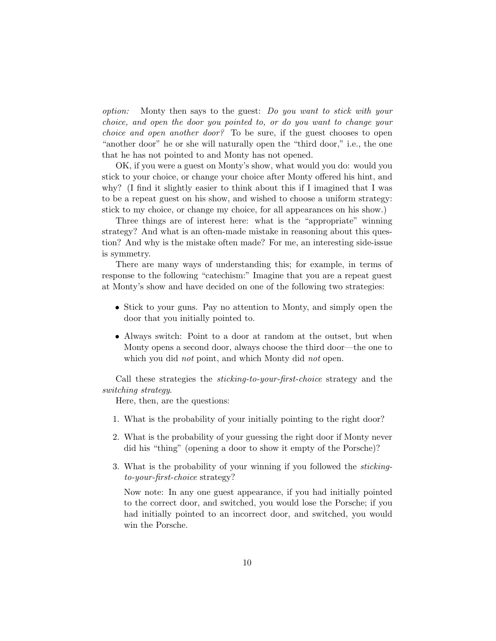option: Monty then says to the guest: Do you want to stick with your choice, and open the door you pointed to, or do you want to change your choice and open another door? To be sure, if the guest chooses to open "another door" he or she will naturally open the "third door," i.e., the one that he has not pointed to and Monty has not opened.

OK, if you were a guest on Monty's show, what would you do: would you stick to your choice, or change your choice after Monty offered his hint, and why? (I find it slightly easier to think about this if I imagined that I was to be a repeat guest on his show, and wished to choose a uniform strategy: stick to my choice, or change my choice, for all appearances on his show.)

Three things are of interest here: what is the "appropriate" winning strategy? And what is an often-made mistake in reasoning about this question? And why is the mistake often made? For me, an interesting side-issue is symmetry.

There are many ways of understanding this; for example, in terms of response to the following "catechism:" Imagine that you are a repeat guest at Monty's show and have decided on one of the following two strategies:

- Stick to your guns. Pay no attention to Monty, and simply open the door that you initially pointed to.
- Always switch: Point to a door at random at the outset, but when Monty opens a second door, always choose the third door—the one to which you did *not* point, and which Monty did *not* open.

Call these strategies the sticking-to-your-first-choice strategy and the switching strategy.

Here, then, are the questions:

- 1. What is the probability of your initially pointing to the right door?
- 2. What is the probability of your guessing the right door if Monty never did his "thing" (opening a door to show it empty of the Porsche)?
- 3. What is the probability of your winning if you followed the stickingto-your-first-choice strategy?

Now note: In any one guest appearance, if you had initially pointed to the correct door, and switched, you would lose the Porsche; if you had initially pointed to an incorrect door, and switched, you would win the Porsche.